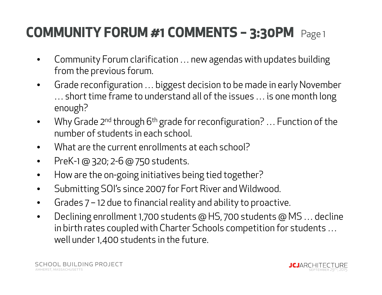- • Community Forum clarification … new agendas with updates building from the previous forum.
- $\bullet$  Grade reconfiguration … biggest decision to be made in early November … short time frame to understand all of the issues … is one month long enough?
- $\bullet$ Why Grade 2<sup>nd</sup> through 6<sup>th</sup> grade for reconfiguration? ... Function of the number of students in each school.
- $\bullet$ What are the current enrollments at each school?
- $\bullet$ PreK-1 @ 320; 2-6 @ 750 students.
- $\bullet$ How are the on-going initiatives being tied together?
- $\bullet$ Submitting SOI's since 2007 for Fort River and Wildwood.
- $\bullet$ Grades 7 – 12 due to financial reality and ability to proactive.
- $\bullet$  Declining enrollment 1,700 students @ HS, 700 students @ MS … decline in birth rates coupled with Charter Schools competition for students … well under 1,400 students in the future.

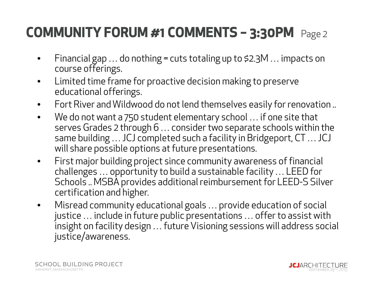- $\bullet$ Financial gap  $\dots$  do nothing = cuts totaling up to \$2.3M  $\dots$  impacts on course offerings.
- $\bullet$  Limited time frame for proactive decision making to preserve educational offerings.
- $\bullet$ Fort River and Wildwood do not lend themselves easily for renovation ..
- $\bullet$  We do not want a 750 student elementary school … if one site that serves Grades 2 through 6 … consider two separate schools within the same building … JCJ completed such a facility in Bridgeport, CT … JCJ will share possible options at future presentations.
- $\bullet$  First major building project since community awareness of financial challenges … opportunity to build a sustainable facility … LEED for Schools .. MSBA provides additional reimbursement for LEED-S Silver certification and higher.
- $\bullet$  Misread community educational goals … provide education of social justice … include in future public presentations … offer to assist with insight on facility design … future Visioning sessions will address social justice/awareness.

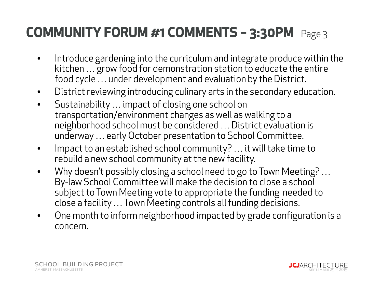- $\bullet$  Introduce gardening into the curriculum and integrate produce within the kitchen … grow food for demonstration station to educate the entire food cycle … under development and evaluation by the District.
- $\bullet$ District reviewing introducing culinary arts in the secondary education.
- $\bullet$  Sustainability … impact of closing one school on transportation/environment changes as well as walking to a neighborhood school must be considered … District evaluation is underway … early October presentation to School Committee.
- $\bullet$  Impact to an established school community? … it will take time to rebuild a new school community at the new facility.
- $\bullet$  Why doesn't possibly closing a school need to go to Town Meeting? … By-law School Committee will make the decision to close a school subject to Town Meeting vote to appropriate the funding needed to close a facility … Town Meeting controls all funding decisions.
- $\bullet$  One month to inform neighborhood impacted by grade configuration is a concern.

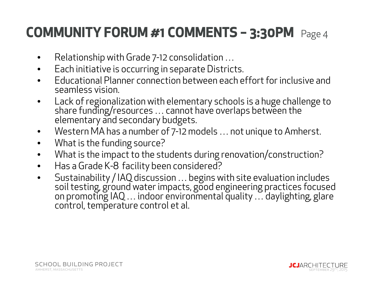- $\bullet$ Relationship with Grade 7-12 consolidation …
- $\bullet$ Each initiative is occurring in separate Districts.
- • Educational Planner connection between each effort for inclusive and seamless vision.
- $\bullet$ Lack of regionalization with elementary schools is a huge challenge to share funding/resources ... cannot have overlaps between the elementary and secondary budgets.
- $\bullet$ Western MA has a number of 7-12 models … not unique to Amherst.
- $\bullet$ What is the funding source?
- $\bullet$ What is the impact to the students during renovation/construction?
- $\bullet$ Has a Grade K-8 facility been considered?
- $\bullet$ Sustainability / IAQ discussion ... begins with site evaluation includes<br>soil testing, ground water impacts, good engineering practices focused<br>on promoting IAQ ... indoor environmental quality ... daylighting, glare<br>contr